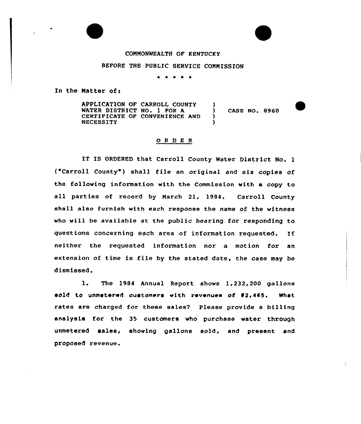## COMMONWEALTH OF KENTUCKY

## BEFORE THE PUBLIC SERVICE COMMISSION

\* \* \* \* \*

In the Matter of:

APPLICATION OF CARROLL COUNTY WATER DISTRICT NO. 1 FOR A CERTIFICATE OF CONVENIENCE AND NECESSITY  $\left\{ \right\}$ ) CASE NO. 8960 ) )

## 0 <sup>R</sup> <sup>D</sup> <sup>E</sup> <sup>R</sup>

IT IS ORDERED that Carroll County Water District No. 1 ("Carroll County" ) shall file an original and six copies of the following information with the Commission with a copy to all parties of record by March 21, 1984. Carroll County shall also furnish with each response the name of the witness who will be available at the public hearing for responding to questions concerning each area of information requested. If neither the requested information nor a motion for an extension of time is file by the stated date, the case may be dismissed.

1. The 1984 Annual Report shows 1,232,200 gallons sold to unmetered customers with revenues of \$2,465. What rates are charged for these sales? Please provide a billing analysis for the 35 customers who purchase water through unmetered sales, showing gallons sold, and present and proposed revenue.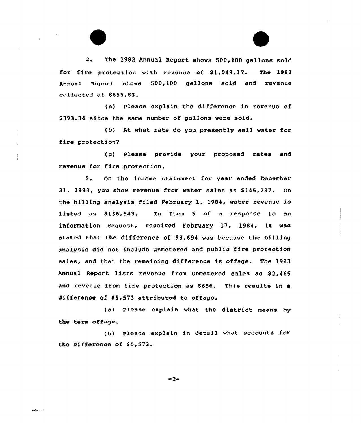2. The 1982 Annual Report shows 500,100 gallons sold for fire protection with revenue of S1,049.17. The 1983 Annual Report shows 500,100 gallons sold and revenue collected at S655.83.

(a) Please explain the difference in revenue of S393.34 since the same number of gallons were sold.

(b) At what rate do you presently sell water for fire protection?

(c) Please provide your proposed rates and revenue for fire protection.

3. On the income statement for year ended December 31, 1983, you show revenue from water sales as 8145,237. On the billing analysis filed February 1, 1984, water revenue is listed as \$136,543. In Item 5 of a response to an information request, received February 17, 1984, it was stated that the difference of 88,694 was because the billing analysis did not include unmetered and public fire protection sales, and that the remaining difference is offage. The 1983 Annual Report lists revenue from unmetered sales as \$2,465 and revenue from fire protection as \$656. This results in a difference of 85,573 attributed to offage.

(a) Please explain what the district means by the term offage.

(b) Please explain in detail what accounts for the difference of S5,573.

 $-2-$ 

الحادث للخلط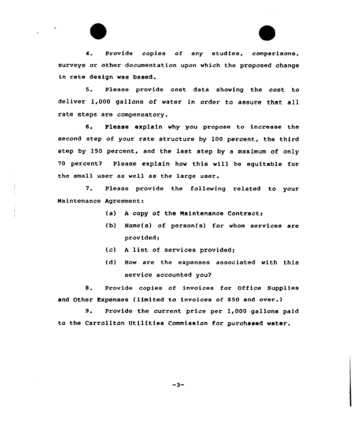4. Provide copies of any studies, comparisons, surveys or other documentation upon which the proposed change in rate design was based.

5. Please provide cost data showing the cost to deliver 1,000 gallons of water in order to assure that all rate steps are compensatory.

6. Please explain why you propose to increase the second step of your rate structure by 100 percent, the third step by 150 percent, and the last step by a maximum of only 70 percent2 Please explain how this vill. be equitable for the small user as well as the large user.

7. Please provide the following related to your Naintenance Agreement:

- (a) A copy of the Maintenance Contract;
- (b) Name(s) of person(s) for whom services are provided;
- (c) <sup>A</sup> list of services provided;
- (d) How are the expenses associated with this service accounted you?

8. Provide copies of invoices for Office Supplies and Other Expenses (limited to invoices of \$50 and over.)

9. Provide the current price per 1,000 gallons paid to the Carrollton Utilities Commission for purchased water.